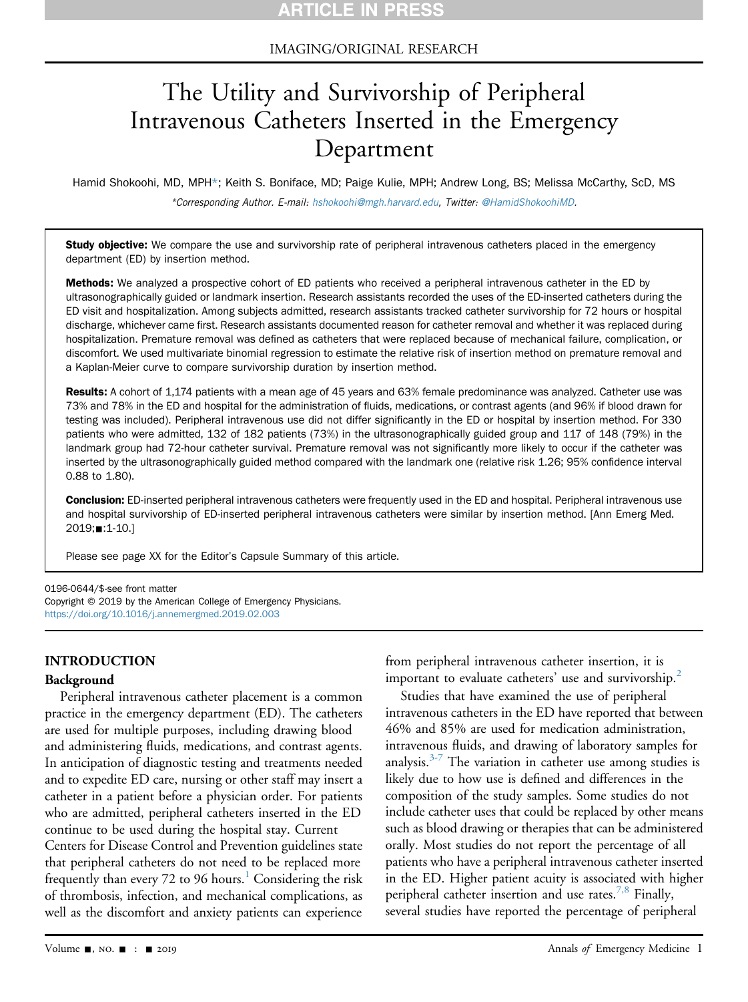## IMAGING/ORIGINAL RESEARCH

# The Utility and Survivorship of Peripheral Intravenous Catheters Inserted in the Emergency Department

Hamid Shokoohi, MD, MPH\*; Keith S. Boniface, MD; Paige Kulie, MPH; Andrew Long, BS; Melissa McCarthy, ScD, MS \*Corresponding Author. E-mail: [hshokoohi@mgh.harvard.edu,](mailto:hshokoohi@mgh.harvard.edu) Twitter: [@HamidShokoohiMD](https://twitter.com/HamidShokoohiMD).

Study objective: We compare the use and survivorship rate of peripheral intravenous catheters placed in the emergency department (ED) by insertion method.

Methods: We analyzed a prospective cohort of ED patients who received a peripheral intravenous catheter in the ED by ultrasonographically guided or landmark insertion. Research assistants recorded the uses of the ED-inserted catheters during the ED visit and hospitalization. Among subjects admitted, research assistants tracked catheter survivorship for 72 hours or hospital discharge, whichever came first. Research assistants documented reason for catheter removal and whether it was replaced during hospitalization. Premature removal was defined as catheters that were replaced because of mechanical failure, complication, or discomfort. We used multivariate binomial regression to estimate the relative risk of insertion method on premature removal and a Kaplan-Meier curve to compare survivorship duration by insertion method.

Results: A cohort of 1,174 patients with a mean age of 45 years and 63% female predominance was analyzed. Catheter use was 73% and 78% in the ED and hospital for the administration of fluids, medications, or contrast agents (and 96% if blood drawn for testing was included). Peripheral intravenous use did not differ significantly in the ED or hospital by insertion method. For 330 patients who were admitted, 132 of 182 patients (73%) in the ultrasonographically guided group and 117 of 148 (79%) in the landmark group had 72-hour catheter survival. Premature removal was not significantly more likely to occur if the catheter was inserted by the ultrasonographically guided method compared with the landmark one (relative risk 1.26; 95% confidence interval 0.88 to 1.80).

Conclusion: ED-inserted peripheral intravenous catheters were frequently used in the ED and hospital. Peripheral intravenous use and hospital survivorship of ED-inserted peripheral intravenous catheters were similar by insertion method. [Ann Emerg Med. 2019;**■**:1-10.]

Please see page XX for the Editor's Capsule Summary of this article.

0196-0644/\$-see front matter Copyright © 2019 by the American College of Emergency Physicians.

<https://doi.org/10.1016/j.annemergmed.2019.02.003>

# INTRODUCTION

#### Background

Peripheral intravenous catheter placement is a common practice in the emergency department (ED). The catheters are used for multiple purposes, including drawing blood and administering fluids, medications, and contrast agents. In anticipation of diagnostic testing and treatments needed and to expedite ED care, nursing or other staff may insert a catheter in a patient before a physician order. For patients who are admitted, peripheral catheters inserted in the ED continue to be used during the hospital stay. Current Centers for Disease Control and Prevention guidelines state that peripheral catheters do not need to be replaced more frequently than every 72 to 96 hours.<sup>[1](#page-9-0)</sup> Considering the risk of thrombosis, infection, and mechanical complications, as well as the discomfort and anxiety patients can experience

from peripheral intravenous catheter insertion, it is important to evaluate catheters' use and survivorship.<sup>2</sup>

Studies that have examined the use of peripheral intravenous catheters in the ED have reported that between 46% and 85% are used for medication administration, intravenous fluids, and drawing of laboratory samples for analysis. $3-7$  The variation in catheter use among studies is likely due to how use is defined and differences in the composition of the study samples. Some studies do not include catheter uses that could be replaced by other means such as blood drawing or therapies that can be administered orally. Most studies do not report the percentage of all patients who have a peripheral intravenous catheter inserted in the ED. Higher patient acuity is associated with higher peripheral catheter insertion and use rates.<sup>[7,8](#page-9-3)</sup> Finally, several studies have reported the percentage of peripheral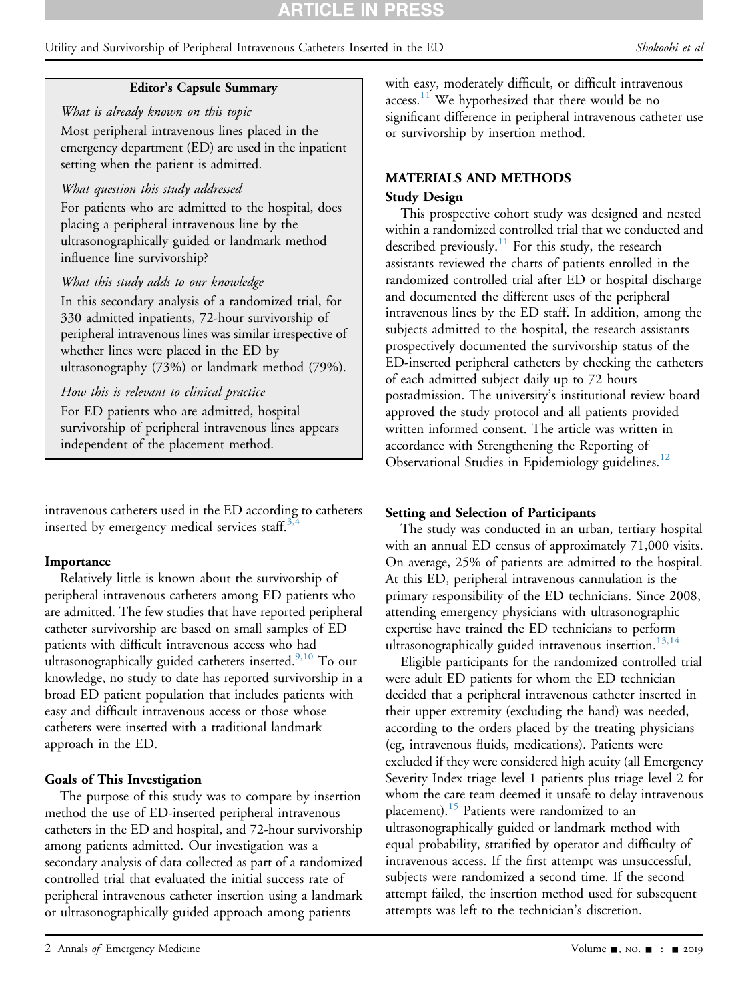Utility and Survivorship of Peripheral Intravenous Catheters Inserted in the ED Shokoohi et al

#### Editor's Capsule Summary

What is already known on this topic Most peripheral intravenous lines placed in the emergency department (ED) are used in the inpatient setting when the patient is admitted.

#### What question this study addressed

For patients who are admitted to the hospital, does placing a peripheral intravenous line by the ultrasonographically guided or landmark method influence line survivorship?

### What this study adds to our knowledge

In this secondary analysis of a randomized trial, for 330 admitted inpatients, 72-hour survivorship of peripheral intravenous lines was similar irrespective of whether lines were placed in the ED by ultrasonography (73%) or landmark method (79%).

### How this is relevant to clinical practice

For ED patients who are admitted, hospital survivorship of peripheral intravenous lines appears independent of the placement method.

intravenous catheters used in the ED according to catheters inserted by emergency medical services staff.<sup>[3,4](#page-9-2)</sup>

# **Importance**

Relatively little is known about the survivorship of peripheral intravenous catheters among ED patients who are admitted. The few studies that have reported peripheral catheter survivorship are based on small samples of ED patients with difficult intravenous access who had ultrasonographically guided catheters inserted.<sup>[9,10](#page-9-4)</sup> To our knowledge, no study to date has reported survivorship in a broad ED patient population that includes patients with easy and difficult intravenous access or those whose catheters were inserted with a traditional landmark approach in the ED.

# Goals of This Investigation

The purpose of this study was to compare by insertion method the use of ED-inserted peripheral intravenous catheters in the ED and hospital, and 72-hour survivorship among patients admitted. Our investigation was a secondary analysis of data collected as part of a randomized controlled trial that evaluated the initial success rate of peripheral intravenous catheter insertion using a landmark or ultrasonographically guided approach among patients

with easy, moderately difficult, or difficult intravenous access.<sup>[11](#page-9-5)</sup> We hypothesized that there would be no significant difference in peripheral intravenous catheter use or survivorship by insertion method.

# MATERIALS AND METHODS

#### Study Design

This prospective cohort study was designed and nested within a randomized controlled trial that we conducted and described previously.<sup>[11](#page-9-5)</sup> For this study, the research assistants reviewed the charts of patients enrolled in the randomized controlled trial after ED or hospital discharge and documented the different uses of the peripheral intravenous lines by the ED staff. In addition, among the subjects admitted to the hospital, the research assistants prospectively documented the survivorship status of the ED-inserted peripheral catheters by checking the catheters of each admitted subject daily up to 72 hours postadmission. The university's institutional review board approved the study protocol and all patients provided written informed consent. The article was written in accordance with Strengthening the Reporting of Observational Studies in Epidemiology guidelines.<sup>12</sup>

#### Setting and Selection of Participants

The study was conducted in an urban, tertiary hospital with an annual ED census of approximately 71,000 visits. On average, 25% of patients are admitted to the hospital. At this ED, peripheral intravenous cannulation is the primary responsibility of the ED technicians. Since 2008, attending emergency physicians with ultrasonographic expertise have trained the ED technicians to perform ultrasonographically guided intravenous insertion.<sup>[13,14](#page-9-7)</sup>

Eligible participants for the randomized controlled trial were adult ED patients for whom the ED technician decided that a peripheral intravenous catheter inserted in their upper extremity (excluding the hand) was needed, according to the orders placed by the treating physicians (eg, intravenous fluids, medications). Patients were excluded if they were considered high acuity (all Emergency Severity Index triage level 1 patients plus triage level 2 for whom the care team deemed it unsafe to delay intravenous placement).<sup>[15](#page-9-8)</sup> Patients were randomized to an ultrasonographically guided or landmark method with equal probability, stratified by operator and difficulty of intravenous access. If the first attempt was unsuccessful, subjects were randomized a second time. If the second attempt failed, the insertion method used for subsequent attempts was left to the technician's discretion.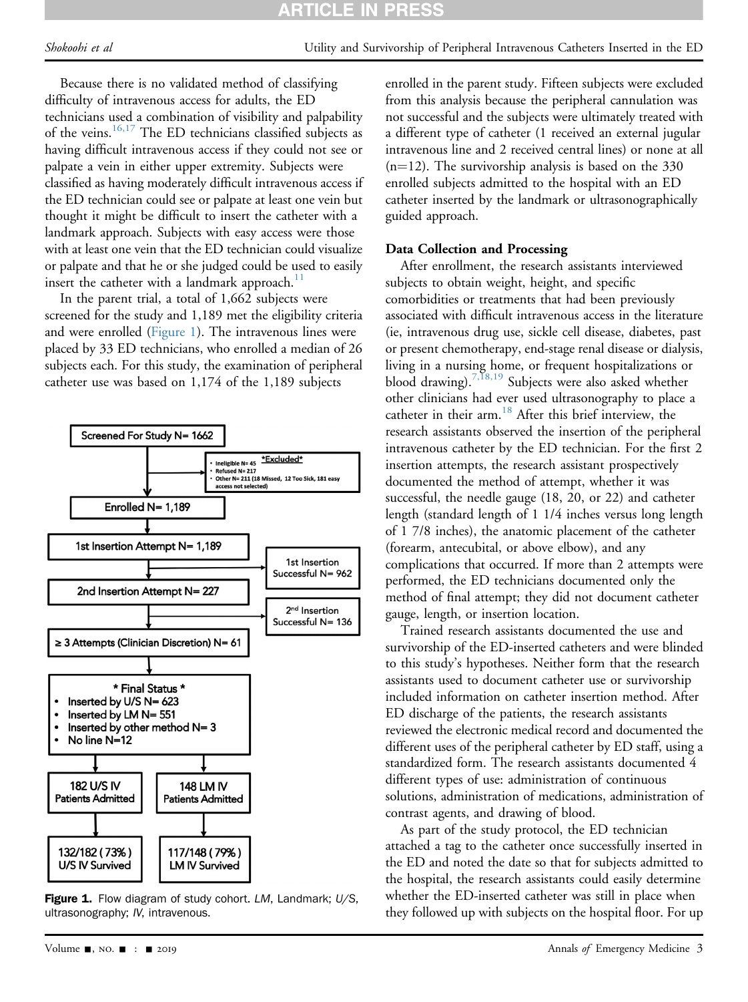Because there is no validated method of classifying difficulty of intravenous access for adults, the ED technicians used a combination of visibility and palpability of the veins.<sup>[16,17](#page-9-9)</sup> The ED technicians classified subjects as having difficult intravenous access if they could not see or palpate a vein in either upper extremity. Subjects were classified as having moderately difficult intravenous access if the ED technician could see or palpate at least one vein but thought it might be difficult to insert the catheter with a landmark approach. Subjects with easy access were those with at least one vein that the ED technician could visualize or palpate and that he or she judged could be used to easily insert the catheter with a landmark approach. $11$ 

In the parent trial, a total of 1,662 subjects were screened for the study and 1,189 met the eligibility criteria and were enrolled ([Figure 1\)](#page-2-0). The intravenous lines were placed by 33 ED technicians, who enrolled a median of 26 subjects each. For this study, the examination of peripheral catheter use was based on 1,174 of the 1,189 subjects

<span id="page-2-0"></span>

Figure 1. Flow diagram of study cohort. LM, Landmark; U/S, ultrasonography; IV, intravenous.

enrolled in the parent study. Fifteen subjects were excluded from this analysis because the peripheral cannulation was not successful and the subjects were ultimately treated with a different type of catheter (1 received an external jugular intravenous line and 2 received central lines) or none at all  $(n=12)$ . The survivorship analysis is based on the 330 enrolled subjects admitted to the hospital with an ED catheter inserted by the landmark or ultrasonographically guided approach.

# Data Collection and Processing

After enrollment, the research assistants interviewed subjects to obtain weight, height, and specific comorbidities or treatments that had been previously associated with difficult intravenous access in the literature (ie, intravenous drug use, sickle cell disease, diabetes, past or present chemotherapy, end-stage renal disease or dialysis, living in a nursing home, or frequent hospitalizations or blood drawing).<sup>7,18,19</sup> Subjects were also asked whether other clinicians had ever used ultrasonography to place a catheter in their arm.<sup>[18](#page-9-10)</sup> After this brief interview, the research assistants observed the insertion of the peripheral intravenous catheter by the ED technician. For the first 2 insertion attempts, the research assistant prospectively documented the method of attempt, whether it was successful, the needle gauge (18, 20, or 22) and catheter length (standard length of 1 1/4 inches versus long length of 1 7/8 inches), the anatomic placement of the catheter (forearm, antecubital, or above elbow), and any complications that occurred. If more than 2 attempts were performed, the ED technicians documented only the method of final attempt; they did not document catheter gauge, length, or insertion location.

Trained research assistants documented the use and survivorship of the ED-inserted catheters and were blinded to this study's hypotheses. Neither form that the research assistants used to document catheter use or survivorship included information on catheter insertion method. After ED discharge of the patients, the research assistants reviewed the electronic medical record and documented the different uses of the peripheral catheter by ED staff, using a standardized form. The research assistants documented 4 different types of use: administration of continuous solutions, administration of medications, administration of contrast agents, and drawing of blood.

As part of the study protocol, the ED technician attached a tag to the catheter once successfully inserted in the ED and noted the date so that for subjects admitted to the hospital, the research assistants could easily determine whether the ED-inserted catheter was still in place when they followed up with subjects on the hospital floor. For up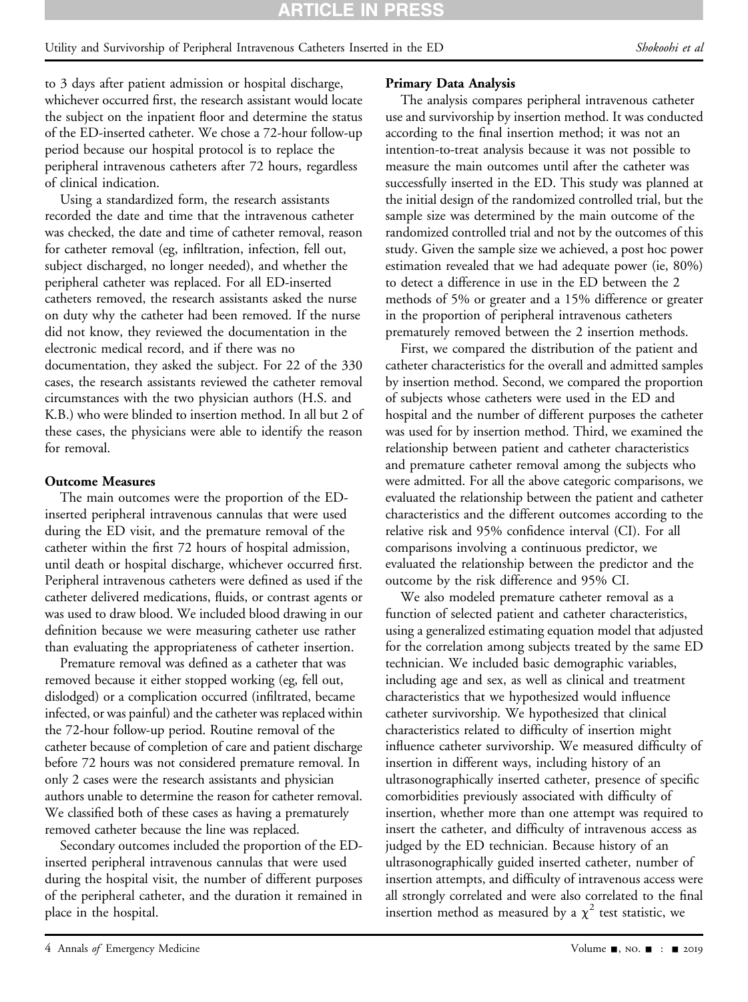# Utility and Survivorship of Peripheral Intravenous Catheters Inserted in the ED Shokoohi et al

to 3 days after patient admission or hospital discharge, whichever occurred first, the research assistant would locate the subject on the inpatient floor and determine the status of the ED-inserted catheter. We chose a 72-hour follow-up period because our hospital protocol is to replace the peripheral intravenous catheters after 72 hours, regardless of clinical indication.

Using a standardized form, the research assistants recorded the date and time that the intravenous catheter was checked, the date and time of catheter removal, reason for catheter removal (eg, infiltration, infection, fell out, subject discharged, no longer needed), and whether the peripheral catheter was replaced. For all ED-inserted catheters removed, the research assistants asked the nurse on duty why the catheter had been removed. If the nurse did not know, they reviewed the documentation in the electronic medical record, and if there was no documentation, they asked the subject. For 22 of the 330 cases, the research assistants reviewed the catheter removal circumstances with the two physician authors (H.S. and K.B.) who were blinded to insertion method. In all but 2 of these cases, the physicians were able to identify the reason for removal.

#### Outcome Measures

The main outcomes were the proportion of the EDinserted peripheral intravenous cannulas that were used during the ED visit, and the premature removal of the catheter within the first 72 hours of hospital admission, until death or hospital discharge, whichever occurred first. Peripheral intravenous catheters were defined as used if the catheter delivered medications, fluids, or contrast agents or was used to draw blood. We included blood drawing in our definition because we were measuring catheter use rather than evaluating the appropriateness of catheter insertion.

Premature removal was defined as a catheter that was removed because it either stopped working (eg, fell out, dislodged) or a complication occurred (infiltrated, became infected, or was painful) and the catheter was replaced within the 72-hour follow-up period. Routine removal of the catheter because of completion of care and patient discharge before 72 hours was not considered premature removal. In only 2 cases were the research assistants and physician authors unable to determine the reason for catheter removal. We classified both of these cases as having a prematurely removed catheter because the line was replaced.

Secondary outcomes included the proportion of the EDinserted peripheral intravenous cannulas that were used during the hospital visit, the number of different purposes of the peripheral catheter, and the duration it remained in place in the hospital.

#### Primary Data Analysis

The analysis compares peripheral intravenous catheter use and survivorship by insertion method. It was conducted according to the final insertion method; it was not an intention-to-treat analysis because it was not possible to measure the main outcomes until after the catheter was successfully inserted in the ED. This study was planned at the initial design of the randomized controlled trial, but the sample size was determined by the main outcome of the randomized controlled trial and not by the outcomes of this study. Given the sample size we achieved, a post hoc power estimation revealed that we had adequate power (ie, 80%) to detect a difference in use in the ED between the 2 methods of 5% or greater and a 15% difference or greater in the proportion of peripheral intravenous catheters prematurely removed between the 2 insertion methods.

First, we compared the distribution of the patient and catheter characteristics for the overall and admitted samples by insertion method. Second, we compared the proportion of subjects whose catheters were used in the ED and hospital and the number of different purposes the catheter was used for by insertion method. Third, we examined the relationship between patient and catheter characteristics and premature catheter removal among the subjects who were admitted. For all the above categoric comparisons, we evaluated the relationship between the patient and catheter characteristics and the different outcomes according to the relative risk and 95% confidence interval (CI). For all comparisons involving a continuous predictor, we evaluated the relationship between the predictor and the outcome by the risk difference and 95% CI.

We also modeled premature catheter removal as a function of selected patient and catheter characteristics, using a generalized estimating equation model that adjusted for the correlation among subjects treated by the same ED technician. We included basic demographic variables, including age and sex, as well as clinical and treatment characteristics that we hypothesized would influence catheter survivorship. We hypothesized that clinical characteristics related to difficulty of insertion might influence catheter survivorship. We measured difficulty of insertion in different ways, including history of an ultrasonographically inserted catheter, presence of specific comorbidities previously associated with difficulty of insertion, whether more than one attempt was required to insert the catheter, and difficulty of intravenous access as judged by the ED technician. Because history of an ultrasonographically guided inserted catheter, number of insertion attempts, and difficulty of intravenous access were all strongly correlated and were also correlated to the final insertion method as measured by a  $\chi^2$  test statistic, we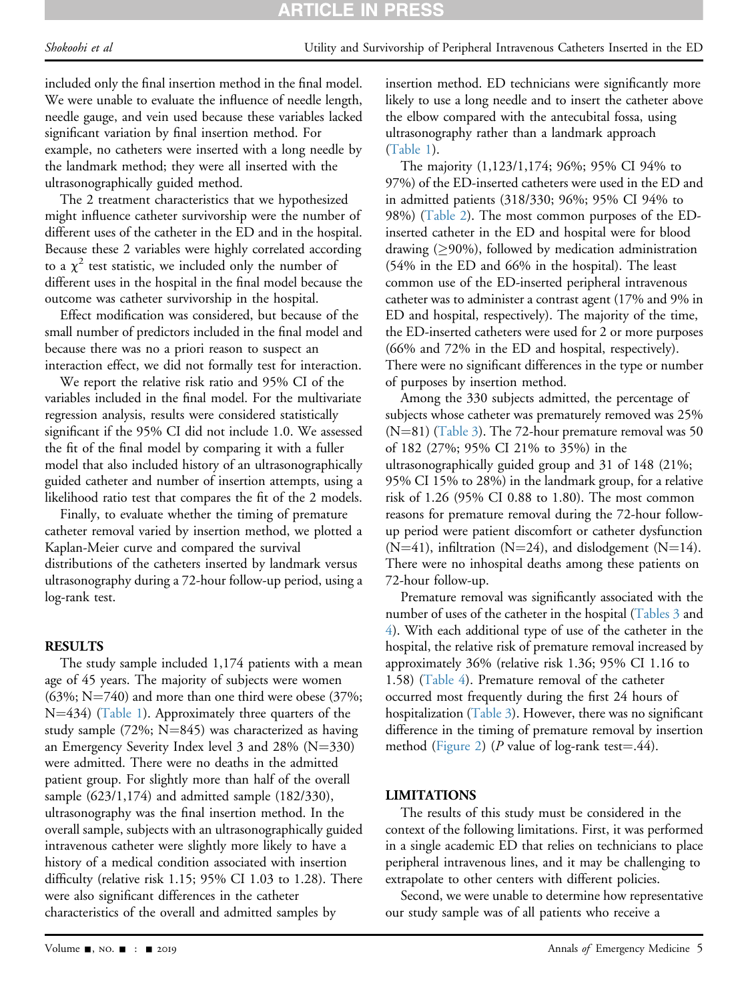# **ARTICLE IN PRES**

included only the final insertion method in the final model. We were unable to evaluate the influence of needle length, needle gauge, and vein used because these variables lacked significant variation by final insertion method. For example, no catheters were inserted with a long needle by the landmark method; they were all inserted with the ultrasonographically guided method.

The 2 treatment characteristics that we hypothesized might influence catheter survivorship were the number of different uses of the catheter in the ED and in the hospital. Because these 2 variables were highly correlated according to a  $\chi^2$  test statistic, we included only the number of different uses in the hospital in the final model because the outcome was catheter survivorship in the hospital.

Effect modification was considered, but because of the small number of predictors included in the final model and because there was no a priori reason to suspect an interaction effect, we did not formally test for interaction.

We report the relative risk ratio and 95% CI of the variables included in the final model. For the multivariate regression analysis, results were considered statistically significant if the 95% CI did not include 1.0. We assessed the fit of the final model by comparing it with a fuller model that also included history of an ultrasonographically guided catheter and number of insertion attempts, using a likelihood ratio test that compares the fit of the 2 models.

Finally, to evaluate whether the timing of premature catheter removal varied by insertion method, we plotted a Kaplan-Meier curve and compared the survival distributions of the catheters inserted by landmark versus ultrasonography during a 72-hour follow-up period, using a log-rank test.

#### RESULTS

The study sample included 1,174 patients with a mean age of 45 years. The majority of subjects were women  $(63\%;$  N=740) and more than one third were obese (37%;  $N=434$ ) ([Table 1\)](#page-5-0). Approximately three quarters of the study sample (72%;  $N=845$ ) was characterized as having an Emergency Severity Index level  $3$  and  $28\%$  (N=330) were admitted. There were no deaths in the admitted patient group. For slightly more than half of the overall sample (623/1,174) and admitted sample (182/330), ultrasonography was the final insertion method. In the overall sample, subjects with an ultrasonographically guided intravenous catheter were slightly more likely to have a history of a medical condition associated with insertion difficulty (relative risk 1.15; 95% CI 1.03 to 1.28). There were also significant differences in the catheter characteristics of the overall and admitted samples by

insertion method. ED technicians were significantly more likely to use a long needle and to insert the catheter above the elbow compared with the antecubital fossa, using ultrasonography rather than a landmark approach ([Table 1\)](#page-5-0).

The majority (1,123/1,174; 96%; 95% CI 94% to 97%) of the ED-inserted catheters were used in the ED and in admitted patients (318/330; 96%; 95% CI 94% to 98%) [\(Table 2](#page-6-0)). The most common purposes of the EDinserted catheter in the ED and hospital were for blood drawing  $( \geq 90\%)$ , followed by medication administration (54% in the ED and 66% in the hospital). The least common use of the ED-inserted peripheral intravenous catheter was to administer a contrast agent (17% and 9% in ED and hospital, respectively). The majority of the time, the ED-inserted catheters were used for 2 or more purposes (66% and 72% in the ED and hospital, respectively). There were no significant differences in the type or number of purposes by insertion method.

Among the 330 subjects admitted, the percentage of subjects whose catheter was prematurely removed was 25% ( $N=81$ ) [\(Table 3](#page-7-0)). The 72-hour premature removal was 50 of 182 (27%; 95% CI 21% to 35%) in the ultrasonographically guided group and 31 of 148 (21%; 95% CI 15% to 28%) in the landmark group, for a relative risk of 1.26 (95% CI 0.88 to 1.80). The most common reasons for premature removal during the 72-hour followup period were patient discomfort or catheter dysfunction  $(N=41)$ , infiltration  $(N=24)$ , and dislodgement  $(N=14)$ . There were no inhospital deaths among these patients on 72-hour follow-up.

Premature removal was significantly associated with the number of uses of the catheter in the hospital [\(Tables 3](#page-7-0) and [4\)](#page-8-0). With each additional type of use of the catheter in the hospital, the relative risk of premature removal increased by approximately 36% (relative risk 1.36; 95% CI 1.16 to 1.58) [\(Table 4](#page-8-0)). Premature removal of the catheter occurred most frequently during the first 24 hours of hospitalization [\(Table 3](#page-7-0)). However, there was no significant difference in the timing of premature removal by insertion method ([Figure 2\)](#page-8-1) (P value of log-rank test=.44).

#### LIMITATIONS

The results of this study must be considered in the context of the following limitations. First, it was performed in a single academic ED that relies on technicians to place peripheral intravenous lines, and it may be challenging to extrapolate to other centers with different policies.

Second, we were unable to determine how representative our study sample was of all patients who receive a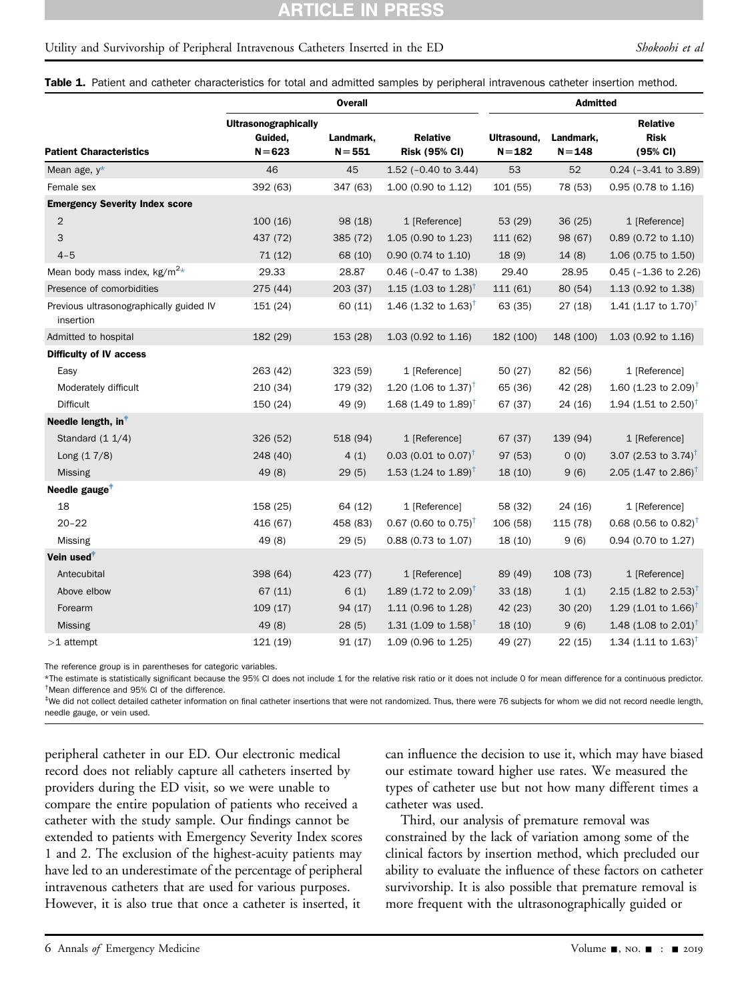#### CLE IN **PRES**

#### Utility and Survivorship of Peripheral Intravenous Catheters Inserted in the ED Shokoohi et al

Table 1. Patient and catheter characteristics for total and admitted samples by peripheral intravenous catheter insertion method.

|                                                      | <b>Overall</b>                                      |                        |                                         | <b>Admitted</b>          |                        |                                            |
|------------------------------------------------------|-----------------------------------------------------|------------------------|-----------------------------------------|--------------------------|------------------------|--------------------------------------------|
| <b>Patient Characteristics</b>                       | <b>Ultrasonographically</b><br>Guided,<br>$N = 623$ | Landmark,<br>$N = 551$ | <b>Relative</b><br><b>Risk (95% CI)</b> | Ultrasound,<br>$N = 182$ | Landmark,<br>$N = 148$ | <b>Relative</b><br><b>Risk</b><br>(95% CI) |
| Mean age, $y^*$                                      | 46                                                  | 45                     | 1.52 ( $-0.40$ to 3.44)                 | 53                       | 52                     | $0.24$ ( $-3.41$ to 3.89)                  |
| Female sex                                           | 392 (63)                                            | 347 (63)               | 1.00 (0.90 to 1.12)                     | 101 (55)                 | 78 (53)                | 0.95 (0.78 to 1.16)                        |
| <b>Emergency Severity Index score</b>                |                                                     |                        |                                         |                          |                        |                                            |
| $\overline{2}$                                       | 100(16)                                             | 98 (18)                | 1 [Reference]                           | 53(29)                   | 36(25)                 | 1 [Reference]                              |
| 3                                                    | 437 (72)                                            | 385 (72)               | $1.05$ (0.90 to 1.23)                   | 111 (62)                 | 98 (67)                | 0.89 (0.72 to 1.10)                        |
| $4 - 5$                                              | 71(12)                                              | 68 (10)                | 0.90 (0.74 to 1.10)                     | 18(9)                    | 14(8)                  | 1.06 (0.75 to 1.50)                        |
| Mean body mass index, $kg/m^2*$                      | 29.33                                               | 28.87                  | $0.46$ ( $-0.47$ to 1.38)               | 29.40                    | 28.95                  | $0.45$ ( $-1.36$ to 2.26)                  |
| Presence of comorbidities                            | 275 (44)                                            | 203 (37)               | 1.15 (1.03 to 1.28) <sup>†</sup>        | 111 (61)                 | 80 (54)                | 1.13 (0.92 to 1.38)                        |
| Previous ultrasonographically guided IV<br>insertion | 151 (24)                                            | 60 (11)                | 1.46 (1.32 to 1.63) <sup>†</sup>        | 63 (35)                  | 27(18)                 | 1.41 (1.17 to 1.70) <sup>†</sup>           |
| Admitted to hospital                                 | 182 (29)                                            | 153 (28)               | 1.03 (0.92 to 1.16)                     | 182 (100)                | 148 (100)              | 1.03 (0.92 to 1.16)                        |
| Difficulty of IV access                              |                                                     |                        |                                         |                          |                        |                                            |
| Easy                                                 | 263 (42)                                            | 323 (59)               | 1 [Reference]                           | 50(27)                   | 82 (56)                | 1 [Reference]                              |
| Moderately difficult                                 | 210 (34)                                            | 179 (32)               | 1.20 (1.06 to 1.37) <sup>†</sup>        | 65 (36)                  | 42 (28)                | 1.60 (1.23 to 2.09) <sup>†</sup>           |
| <b>Difficult</b>                                     | 150 (24)                                            | 49 (9)                 | 1.68 (1.49 to 1.89) <sup>†</sup>        | 67 (37)                  | 24 (16)                | 1.94 (1.51 to 2.50) <sup>†</sup>           |
| Needle length, in <sup>†</sup>                       |                                                     |                        |                                         |                          |                        |                                            |
| Standard $(1 1/4)$                                   | 326 (52)                                            | 518 (94)               | 1 [Reference]                           | 67 (37)                  | 139 (94)               | 1 [Reference]                              |
| Long $(17/8)$                                        | 248 (40)                                            | 4(1)                   | 0.03 (0.01 to 0.07) <sup>†</sup>        | 97 (53)                  | 0(0)                   | 3.07 (2.53 to 3.74) <sup>†</sup>           |
| Missing                                              | 49 (8)                                              | 29(5)                  | 1.53 (1.24 to 1.89) <sup>†</sup>        | 18(10)                   | 9(6)                   | 2.05 (1.47 to 2.86) <sup>†</sup>           |
| Needle gauge <sup>#</sup>                            |                                                     |                        |                                         |                          |                        |                                            |
| 18                                                   | 158 (25)                                            | 64 (12)                | 1 [Reference]                           | 58 (32)                  | 24 (16)                | 1 [Reference]                              |
| $20 - 22$                                            | 416 (67)                                            | 458 (83)               | 0.67 (0.60 to 0.75) <sup>†</sup>        | 106 (58)                 | 115 (78)               | 0.68 (0.56 to 0.82) <sup>†</sup>           |
| Missing                                              | 49 (8)                                              | 29(5)                  | 0.88 (0.73 to 1.07)                     | 18 (10)                  | 9(6)                   | 0.94 (0.70 to 1.27)                        |
| Vein used <sup>#</sup>                               |                                                     |                        |                                         |                          |                        |                                            |
| Antecubital                                          | 398 (64)                                            | 423 (77)               | 1 [Reference]                           | 89 (49)                  | 108 (73)               | 1 [Reference]                              |
| Above elbow                                          | 67(11)                                              | 6(1)                   | 1.89 (1.72 to 2.09) <sup>†</sup>        | 33(18)                   | 1(1)                   | 2.15 (1.82 to 2.53) <sup>†</sup>           |
| Forearm                                              | 109(17)                                             | 94 (17)                | 1.11 (0.96 to 1.28)                     | 42(23)                   | 30(20)                 | 1.29 (1.01 to 1.66) <sup>†</sup>           |
| Missing                                              | 49 (8)                                              | 28(5)                  | 1.31 (1.09 to $1.58$ ) <sup>†</sup>     | 18(10)                   | 9(6)                   | 1.48 (1.08 to 2.01) <sup>†</sup>           |
| $>1$ attempt                                         | 121 (19)                                            | 91 (17)                | 1.09 (0.96 to 1.25)                     | 49 (27)                  | 22(15)                 | 1.34 (1.11 to 1.63) <sup>†</sup>           |

<span id="page-5-0"></span>The reference group is in parentheses for categoric variables.

<span id="page-5-2"></span><span id="page-5-1"></span>\*The estimate is statistically significant because the 95% CI does not include 1 for the relative risk ratio or it does not include 0 for mean difference for a continuous predictor. † Mean difference and 95% CI of the difference.

<span id="page-5-3"></span>\*We did not collect detailed catheter information on final catheter insertions that were not randomized. Thus, there were 76 subjects for whom we did not record needle length, needle gauge, or vein used.

peripheral catheter in our ED. Our electronic medical record does not reliably capture all catheters inserted by providers during the ED visit, so we were unable to compare the entire population of patients who received a catheter with the study sample. Our findings cannot be extended to patients with Emergency Severity Index scores 1 and 2. The exclusion of the highest-acuity patients may have led to an underestimate of the percentage of peripheral intravenous catheters that are used for various purposes. However, it is also true that once a catheter is inserted, it

can influence the decision to use it, which may have biased our estimate toward higher use rates. We measured the types of catheter use but not how many different times a catheter was used.

Third, our analysis of premature removal was constrained by the lack of variation among some of the clinical factors by insertion method, which precluded our ability to evaluate the influence of these factors on catheter survivorship. It is also possible that premature removal is more frequent with the ultrasonographically guided or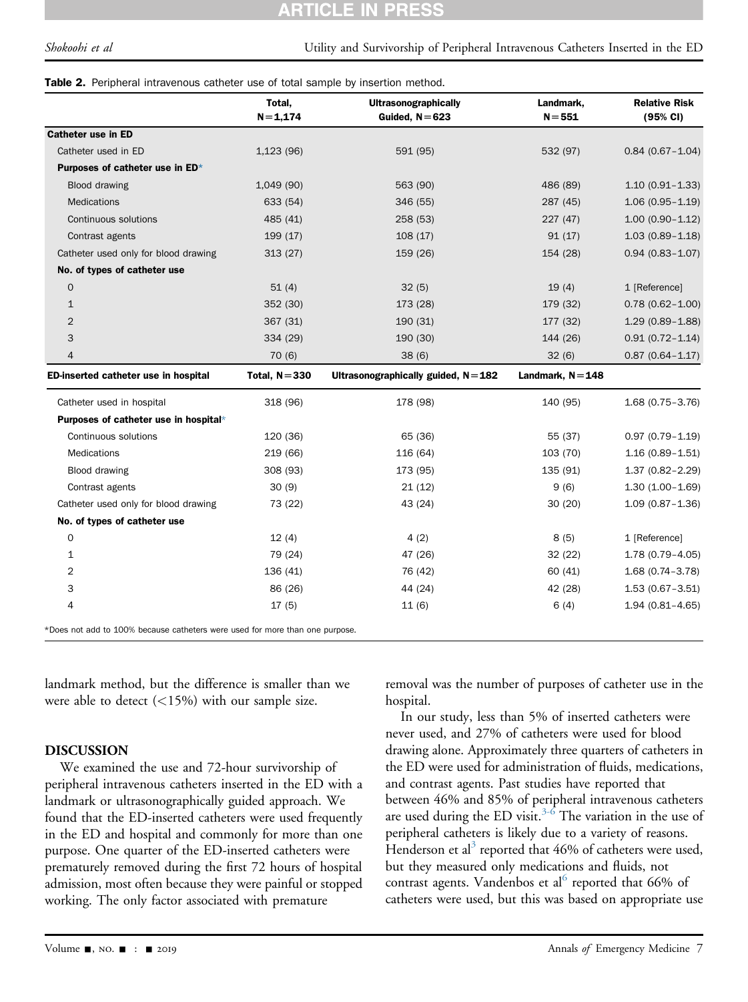#### CLE IN PR

#### <span id="page-6-0"></span>Table 2. Peripheral intravenous catheter use of total sample by insertion method.

|                                       | Total,<br>$N = 1,174$ | <b>Ultrasonographically</b><br>Guided, $N = 623$ | Landmark,<br>$N = 551$ | <b>Relative Risk</b><br>(95% CI) |
|---------------------------------------|-----------------------|--------------------------------------------------|------------------------|----------------------------------|
| <b>Catheter use in ED</b>             |                       |                                                  |                        |                                  |
| Catheter used in ED                   | 1,123 (96)            | 591 (95)                                         | 532 (97)               | $0.84(0.67 - 1.04)$              |
| Purposes of catheter use in ED*       |                       |                                                  |                        |                                  |
| Blood drawing                         | 1,049 (90)            | 563 (90)                                         | 486 (89)               | $1.10(0.91 - 1.33)$              |
| <b>Medications</b>                    | 633 (54)              | 346 (55)                                         | 287 (45)               | $1.06(0.95 - 1.19)$              |
| Continuous solutions                  | 485 (41)              | 258 (53)                                         | 227(47)                | $1.00(0.90 - 1.12)$              |
| Contrast agents                       | 199(17)               | 108(17)                                          | 91(17)                 | $1.03(0.89 - 1.18)$              |
| Catheter used only for blood drawing  | 313(27)               | 159 (26)                                         | 154 (28)               | $0.94(0.83 - 1.07)$              |
| No. of types of catheter use          |                       |                                                  |                        |                                  |
| $\mathbf 0$                           | 51(4)                 | 32(5)                                            | 19(4)                  | 1 [Reference]                    |
| $\mathbf{1}$                          | 352 (30)              | 173 (28)                                         | 179 (32)               | $0.78(0.62 - 1.00)$              |
| $\overline{2}$                        | 367 (31)              | 190 (31)                                         | 177 (32)               | $1.29(0.89 - 1.88)$              |
| 3                                     | 334 (29)              | 190 (30)                                         | 144 (26)               | $0.91(0.72 - 1.14)$              |
| $\overline{4}$                        | 70(6)                 | 38(6)                                            | 32(6)                  | $0.87(0.64 - 1.17)$              |
| ED-inserted catheter use in hospital  | Total, $N = 330$      | Ultrasonographically guided, $N = 182$           | Landmark, $N = 148$    |                                  |
| Catheter used in hospital             | 318 (96)              | 178 (98)                                         | 140 (95)               | $1.68(0.75 - 3.76)$              |
| Purposes of catheter use in hospital* |                       |                                                  |                        |                                  |
| Continuous solutions                  | 120 (36)              | 65 (36)                                          | 55 (37)                | $0.97(0.79 - 1.19)$              |
| <b>Medications</b>                    | 219 (66)              | 116 (64)                                         | 103 (70)               | $1.16(0.89 - 1.51)$              |
| Blood drawing                         | 308 (93)              | 173 (95)                                         | 135 (91)               | $1.37(0.82 - 2.29)$              |
| Contrast agents                       | 30(9)                 | 21(12)                                           | 9(6)                   | $1.30(1.00-1.69)$                |
| Catheter used only for blood drawing  | 73 (22)               | 43 (24)                                          | 30 (20)                | $1.09(0.87 - 1.36)$              |
| No. of types of catheter use          |                       |                                                  |                        |                                  |
| $\mathbf 0$                           | 12(4)                 | 4(2)                                             | 8(5)                   | 1 [Reference]                    |
| 1                                     | 79 (24)               | 47 (26)                                          | 32 (22)                | $1.78(0.79 - 4.05)$              |
| 2                                     | 136 (41)              | 76 (42)                                          | 60 (41)                | $1.68(0.74 - 3.78)$              |
| 3                                     | 86 (26)               | 44 (24)                                          | 42 (28)                | $1.53(0.67 - 3.51)$              |
| 4                                     | 17(5)                 | 11(6)                                            | 6(4)                   | $1.94(0.81 - 4.65)$              |

<span id="page-6-1"></span>\*Does not add to 100% because catheters were used for more than one purpose.

landmark method, but the difference is smaller than we were able to detect  $(<15\%)$  with our sample size.

#### DISCUSSION

We examined the use and 72-hour survivorship of peripheral intravenous catheters inserted in the ED with a landmark or ultrasonographically guided approach. We found that the ED-inserted catheters were used frequently in the ED and hospital and commonly for more than one purpose. One quarter of the ED-inserted catheters were prematurely removed during the first 72 hours of hospital admission, most often because they were painful or stopped working. The only factor associated with premature

removal was the number of purposes of catheter use in the hospital.

In our study, less than 5% of inserted catheters were never used, and 27% of catheters were used for blood drawing alone. Approximately three quarters of catheters in the ED were used for administration of fluids, medications, and contrast agents. Past studies have reported that between 46% and 85% of peripheral intravenous catheters are used during the ED visit.<sup>[3-6](#page-9-2)</sup> The variation in the use of peripheral catheters is likely due to a variety of reasons. Henderson et al<sup>[3](#page-9-2)</sup> reported that 46% of catheters were used, but they measured only medications and fluids, not contrast agents. Vandenbos et  $al^6$  $al^6$  reported that 66% of catheters were used, but this was based on appropriate use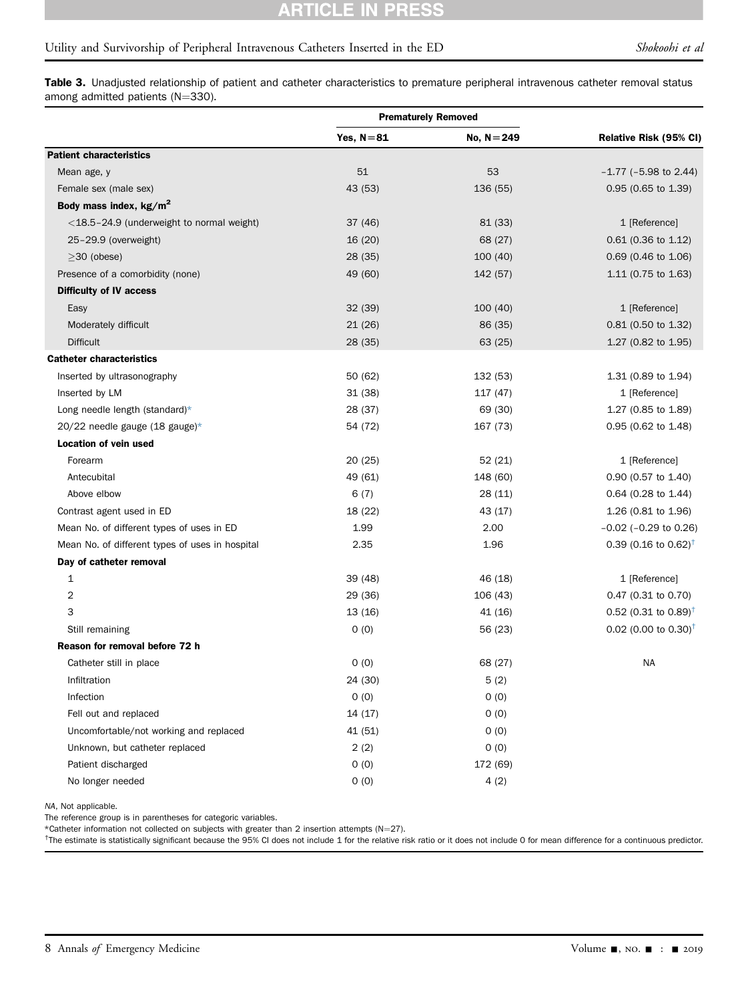# CLE IN PRESS

# Utility and Survivorship of Peripheral Intravenous Catheters Inserted in the ED Shokoohi et al

Table 3. Unadjusted relationship of patient and catheter characteristics to premature peripheral intravenous catheter removal status among admitted patients ( $N=330$ ).

|                                                 | <b>Prematurely Removed</b> |               |                                  |  |
|-------------------------------------------------|----------------------------|---------------|----------------------------------|--|
|                                                 | Yes, $N=81$                | No, $N = 249$ | Relative Risk (95% CI)           |  |
| <b>Patient characteristics</b>                  |                            |               |                                  |  |
| Mean age, y                                     | 51                         | 53            | $-1.77$ ( $-5.98$ to 2.44)       |  |
| Female sex (male sex)                           | 43 (53)                    | 136 (55)      | $0.95$ (0.65 to 1.39)            |  |
| Body mass index, $kg/m^2$                       |                            |               |                                  |  |
| <18.5-24.9 (underweight to normal weight)       | 37 (46)                    | 81 (33)       | 1 [Reference]                    |  |
| 25-29.9 (overweight)                            | 16 (20)                    | 68 (27)       | 0.61 (0.36 to 1.12)              |  |
| $\geq$ 30 (obese)                               | 28 (35)                    | 100(40)       | 0.69 (0.46 to 1.06)              |  |
| Presence of a comorbidity (none)                | 49 (60)                    | 142 (57)      | 1.11 (0.75 to 1.63)              |  |
| <b>Difficulty of IV access</b>                  |                            |               |                                  |  |
| Easy                                            | 32(39)                     | 100(40)       | 1 [Reference]                    |  |
| Moderately difficult                            | 21(26)                     | 86 (35)       | 0.81 (0.50 to 1.32)              |  |
| <b>Difficult</b>                                | 28 (35)                    | 63 (25)       | 1.27 (0.82 to 1.95)              |  |
| <b>Catheter characteristics</b>                 |                            |               |                                  |  |
| Inserted by ultrasonography                     | 50 (62)                    | 132 (53)      | 1.31 (0.89 to 1.94)              |  |
| Inserted by LM                                  | 31(38)                     | 117 (47)      | 1 [Reference]                    |  |
| Long needle length (standard)*                  | 28 (37)                    | 69 (30)       | 1.27 (0.85 to 1.89)              |  |
| 20/22 needle gauge (18 gauge)*                  | 54 (72)                    | 167 (73)      | 0.95 (0.62 to 1.48)              |  |
| <b>Location of vein used</b>                    |                            |               |                                  |  |
| Forearm                                         | 20(25)                     | 52(21)        | 1 [Reference]                    |  |
| Antecubital                                     | 49 (61)                    | 148 (60)      | 0.90 (0.57 to 1.40)              |  |
| Above elbow                                     | 6(7)                       | 28 (11)       | 0.64 (0.28 to 1.44)              |  |
| Contrast agent used in ED                       | 18 (22)                    | 43 (17)       | 1.26 (0.81 to 1.96)              |  |
| Mean No. of different types of uses in ED       | 1.99                       | 2.00          | $-0.02$ ( $-0.29$ to 0.26)       |  |
| Mean No. of different types of uses in hospital | 2.35                       | 1.96          | 0.39 (0.16 to 0.62) <sup>†</sup> |  |
| Day of catheter removal                         |                            |               |                                  |  |
| 1                                               | 39 (48)                    | 46 (18)       | 1 [Reference]                    |  |
| 2                                               | 29 (36)                    | 106 (43)      | 0.47 (0.31 to 0.70)              |  |
| 3                                               | 13(16)                     | 41 (16)       | 0.52 (0.31 to 0.89) <sup>†</sup> |  |
| Still remaining                                 | 0(0)                       | 56 (23)       | 0.02 (0.00 to 0.30) <sup>†</sup> |  |
| Reason for removal before 72 h                  |                            |               |                                  |  |
| Catheter still in place                         | 0(0)                       | 68 (27)       | <b>NA</b>                        |  |
| Infiltration                                    | 24 (30)                    | 5(2)          |                                  |  |
| Infection                                       | 0(0)                       | 0(0)          |                                  |  |
| Fell out and replaced                           | 14 (17)                    | 0(0)          |                                  |  |
| Uncomfortable/not working and replaced          | 41 (51)                    | 0(0)          |                                  |  |
| Unknown, but catheter replaced                  | 2(2)                       | 0(0)          |                                  |  |
| Patient discharged                              | 0(0)                       | 172 (69)      |                                  |  |
| No longer needed                                | 0(0)                       | 4(2)          |                                  |  |

<span id="page-7-0"></span>NA, Not applicable.

The reference group is in parentheses for categoric variables.

<span id="page-7-1"></span>\*Catheter information not collected on subjects with greater than 2 insertion attempts (N=27).

<span id="page-7-2"></span><sup>†</sup>The estimate is statistically significant because the 95% CI does not include 1 for the relative risk ratio or it does not include 0 for mean difference for a continuous predictor.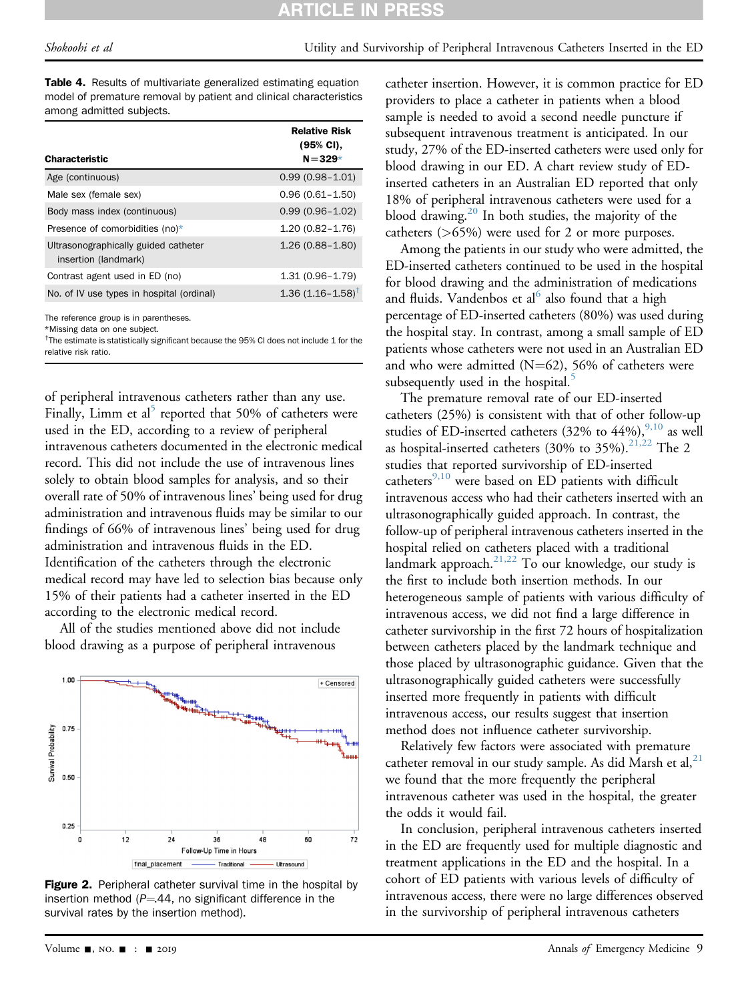Table 4. Results of multivariate generalized estimating equation model of premature removal by patient and clinical characteristics among admitted subjects.

| <b>Characteristic</b>                                        | <b>Relative Risk</b><br>(95% CI),<br>$N = 329*$ |
|--------------------------------------------------------------|-------------------------------------------------|
| Age (continuous)                                             | $0.99(0.98 - 1.01)$                             |
| Male sex (female sex)                                        | $0.96(0.61 - 1.50)$                             |
| Body mass index (continuous)                                 | $0.99(0.96 - 1.02)$                             |
| Presence of comorbidities (no) $*$                           | $1.20(0.82 - 1.76)$                             |
| Ultrasonographically guided catheter<br>insertion (landmark) | $1.26(0.88 - 1.80)$                             |
| Contrast agent used in ED (no)                               | $1.31(0.96 - 1.79)$                             |
| No. of IV use types in hospital (ordinal)                    | $1.36(1.16 - 1.58)^T$                           |

<span id="page-8-0"></span>The reference group is in parentheses.

<span id="page-8-2"></span>\*Missing data on one subject.

<span id="page-8-3"></span><sup>†</sup>The estimate is statistically significant because the 95% CI does not include 1 for the relative risk ratio.

of peripheral intravenous catheters rather than any use. Finally, Limm et al<sup>[5](#page-9-12)</sup> reported that 50% of catheters were used in the ED, according to a review of peripheral intravenous catheters documented in the electronic medical record. This did not include the use of intravenous lines solely to obtain blood samples for analysis, and so their overall rate of 50% of intravenous lines' being used for drug administration and intravenous fluids may be similar to our findings of 66% of intravenous lines' being used for drug administration and intravenous fluids in the ED. Identification of the catheters through the electronic medical record may have led to selection bias because only 15% of their patients had a catheter inserted in the ED according to the electronic medical record.

All of the studies mentioned above did not include blood drawing as a purpose of peripheral intravenous

<span id="page-8-1"></span>

Figure 2. Peripheral catheter survival time in the hospital by insertion method ( $P = 44$ , no significant difference in the survival rates by the insertion method).

catheter insertion. However, it is common practice for ED providers to place a catheter in patients when a blood sample is needed to avoid a second needle puncture if subsequent intravenous treatment is anticipated. In our study, 27% of the ED-inserted catheters were used only for blood drawing in our ED. A chart review study of EDinserted catheters in an Australian ED reported that only 18% of peripheral intravenous catheters were used for a blood drawing.[20](#page-9-13) In both studies, the majority of the catheters (>65%) were used for 2 or more purposes.

Among the patients in our study who were admitted, the ED-inserted catheters continued to be used in the hospital for blood drawing and the administration of medications and fluids. Vandenbos et al $<sup>6</sup>$  $<sup>6</sup>$  $<sup>6</sup>$  also found that a high</sup> percentage of ED-inserted catheters (80%) was used during the hospital stay. In contrast, among a small sample of ED patients whose catheters were not used in an Australian ED and who were admitted ( $N=62$ ), 56% of catheters were subsequently used in the hospital.<sup>5</sup>

The premature removal rate of our ED-inserted catheters (25%) is consistent with that of other follow-up studies of ED-inserted catheters (32% to  $44\%$ ),  $9,10$  as well as hospital-inserted catheters (30% to 35%).<sup>[21,22](#page-9-14)</sup> The 2 studies that reported survivorship of ED-inserted catheters $9,10$  were based on ED patients with difficult intravenous access who had their catheters inserted with an ultrasonographically guided approach. In contrast, the follow-up of peripheral intravenous catheters inserted in the hospital relied on catheters placed with a traditional landmark approach.<sup>[21,22](#page-9-14)</sup> To our knowledge, our study is the first to include both insertion methods. In our heterogeneous sample of patients with various difficulty of intravenous access, we did not find a large difference in catheter survivorship in the first 72 hours of hospitalization between catheters placed by the landmark technique and those placed by ultrasonographic guidance. Given that the ultrasonographically guided catheters were successfully inserted more frequently in patients with difficult intravenous access, our results suggest that insertion method does not influence catheter survivorship.

Relatively few factors were associated with premature catheter removal in our study sample. As did Marsh et al, $^{21}$  $^{21}$  $^{21}$ we found that the more frequently the peripheral intravenous catheter was used in the hospital, the greater the odds it would fail.

In conclusion, peripheral intravenous catheters inserted in the ED are frequently used for multiple diagnostic and treatment applications in the ED and the hospital. In a cohort of ED patients with various levels of difficulty of intravenous access, there were no large differences observed in the survivorship of peripheral intravenous catheters